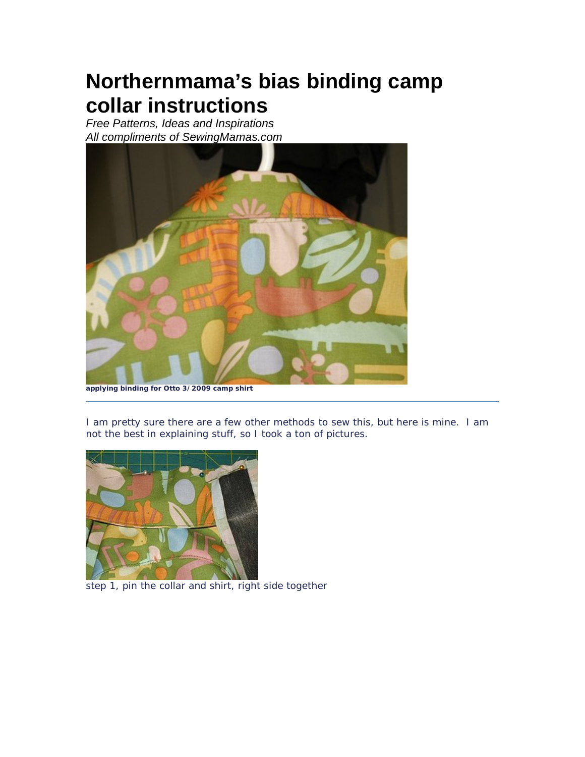## **Northernmama's bias binding camp collar instructions**

*Free Patterns, Ideas and Inspirations All compliments of SewingMamas.com*



**applying binding for Otto 3/2009 camp shirt**

I am pretty sure there are a few other methods to sew this, but here is mine. I am not the best in explaining stuff, so I took a ton of pictures.



step 1, pin the collar and shirt, right side together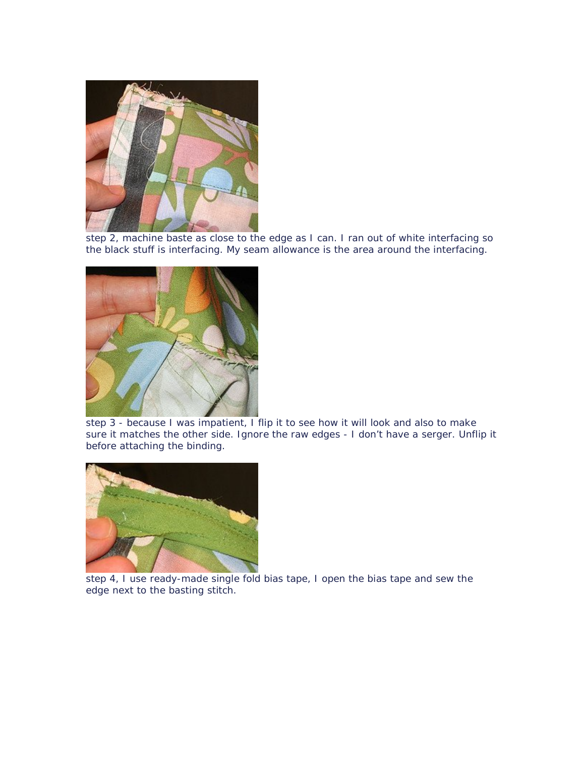

step 2, machine baste as close to the edge as I can. I ran out of white interfacing so the black stuff is interfacing. My seam allowance is the area around the interfacing.



step 3 - because I was impatient, I flip it to see how it will look and also to make sure it matches the other side. Ignore the raw edges - I don't have a serger. Unflip it before attaching the binding.



step 4, I use ready-made single fold bias tape, I open the bias tape and sew the edge next to the basting stitch.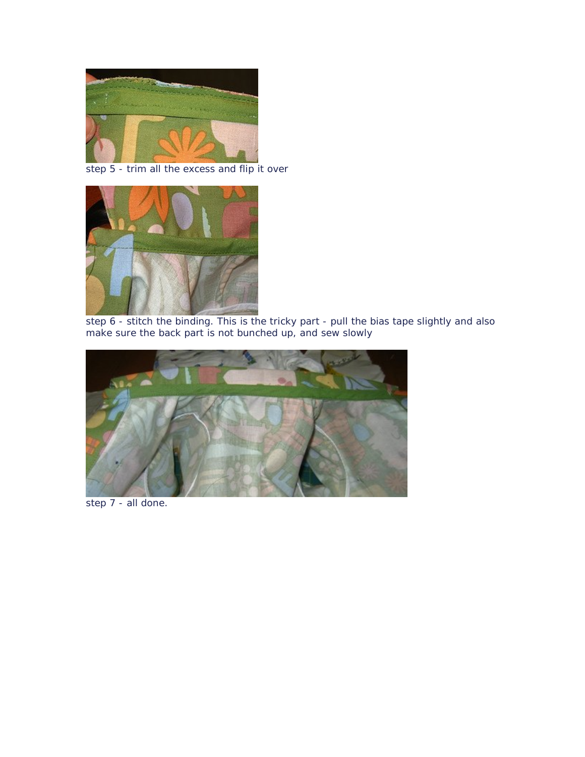

step 5 - trim all the excess and flip it over



step 6 - stitch the binding. This is the tricky part - pull the bias tape slightly and also make sure the back part is not bunched up, and sew slowly



step 7 - all done.